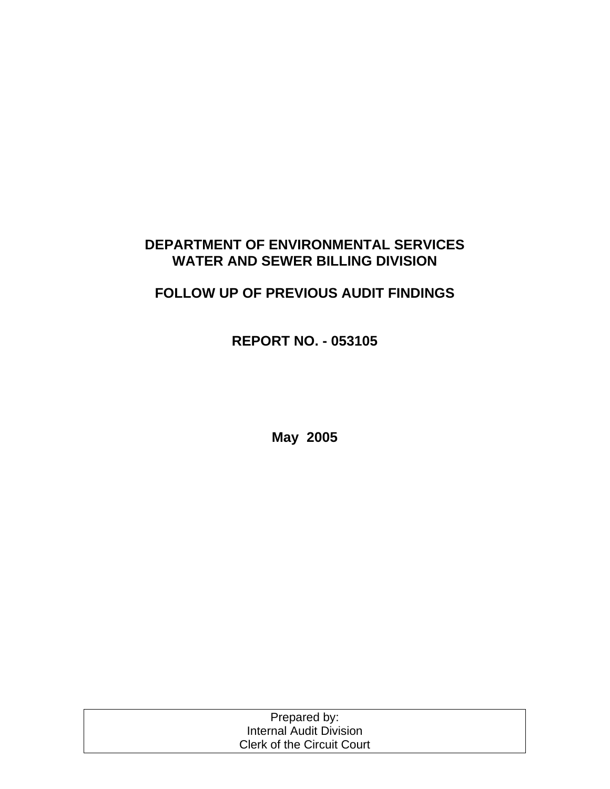# **DEPARTMENT OF ENVIRONMENTAL SERVICES WATER AND SEWER BILLING DIVISION**

# **FOLLOW UP OF PREVIOUS AUDIT FINDINGS**

**REPORT NO. - 053105** 

**May 2005** 

| Prepared by:                      |  |
|-----------------------------------|--|
| Internal Audit Division           |  |
| <b>Clerk of the Circuit Court</b> |  |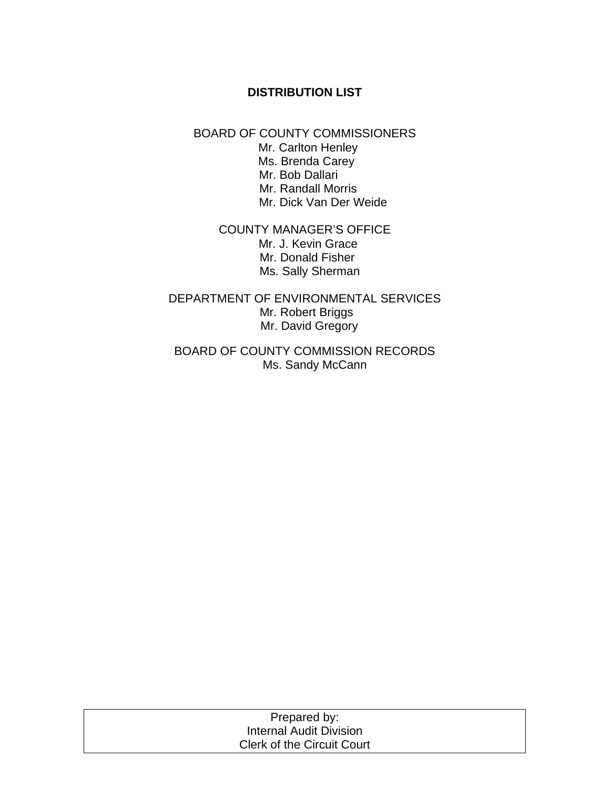## **DISTRIBUTION LIST**

### BOARD OF COUNTY COMMISSIONERS

 Mr. Carlton Henley Ms. Brenda Carey Mr. Bob Dallari Mr. Randall Morris Mr. Dick Van Der Weide

## COUNTY MANAGER'S OFFICE Mr. J. Kevin Grace Mr. Donald Fisher Ms. Sally Sherman

## DEPARTMENT OF ENVIRONMENTAL SERVICES Mr. Robert Briggs Mr. David Gregory

## BOARD OF COUNTY COMMISSION RECORDS Ms. Sandy McCann

| Prepared by:                      |
|-----------------------------------|
| Internal Audit Division           |
| <b>Clerk of the Circuit Court</b> |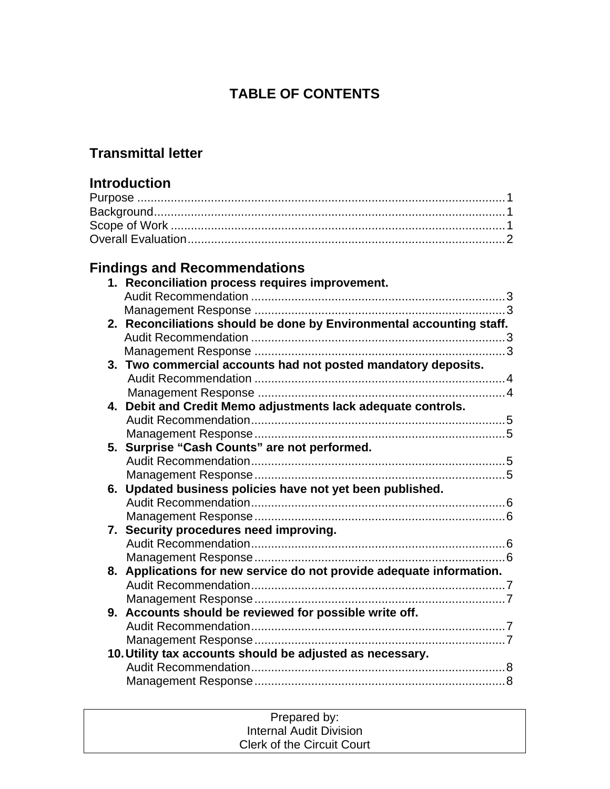# **TABLE OF CONTENTS**

# **Transmittal letter**

# **Introduction**

# **Findings and Recommendations**

|    | 1. Reconciliation process requires improvement.                      |  |
|----|----------------------------------------------------------------------|--|
|    |                                                                      |  |
|    |                                                                      |  |
|    | 2. Reconciliations should be done by Environmental accounting staff. |  |
|    |                                                                      |  |
|    |                                                                      |  |
|    | 3. Two commercial accounts had not posted mandatory deposits.        |  |
|    |                                                                      |  |
|    |                                                                      |  |
| 4. | Debit and Credit Memo adjustments lack adequate controls.            |  |
|    |                                                                      |  |
|    |                                                                      |  |
|    | 5. Surprise "Cash Counts" are not performed.                         |  |
|    |                                                                      |  |
|    |                                                                      |  |
|    | 6. Updated business policies have not yet been published.            |  |
|    |                                                                      |  |
|    |                                                                      |  |
|    | 7. Security procedures need improving.                               |  |
|    |                                                                      |  |
|    |                                                                      |  |
|    | 8. Applications for new service do not provide adequate information. |  |
|    |                                                                      |  |
|    |                                                                      |  |
|    | 9. Accounts should be reviewed for possible write off.               |  |
|    |                                                                      |  |
|    |                                                                      |  |
|    | 10. Utility tax accounts should be adjusted as necessary.            |  |
|    |                                                                      |  |
|    |                                                                      |  |

| Prepared by:                      |  |
|-----------------------------------|--|
| <b>Internal Audit Division</b>    |  |
| <b>Clerk of the Circuit Court</b> |  |
|                                   |  |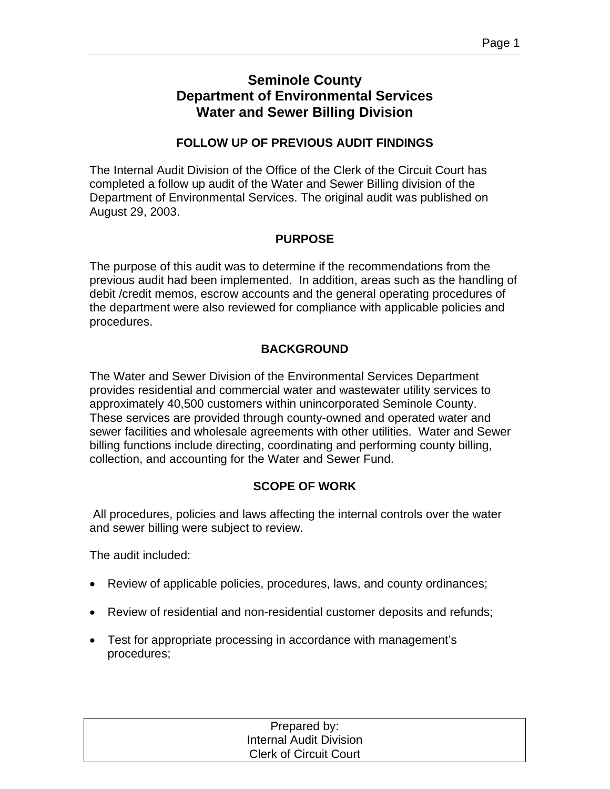# **Seminole County Department of Environmental Services Water and Sewer Billing Division**

## **FOLLOW UP OF PREVIOUS AUDIT FINDINGS**

The Internal Audit Division of the Office of the Clerk of the Circuit Court has completed a follow up audit of the Water and Sewer Billing division of the Department of Environmental Services. The original audit was published on August 29, 2003.

## **PURPOSE**

The purpose of this audit was to determine if the recommendations from the previous audit had been implemented. In addition, areas such as the handling of debit /credit memos, escrow accounts and the general operating procedures of the department were also reviewed for compliance with applicable policies and procedures.

## **BACKGROUND**

The Water and Sewer Division of the Environmental Services Department provides residential and commercial water and wastewater utility services to approximately 40,500 customers within unincorporated Seminole County. These services are provided through county-owned and operated water and sewer facilities and wholesale agreements with other utilities. Water and Sewer billing functions include directing, coordinating and performing county billing, collection, and accounting for the Water and Sewer Fund.

## **SCOPE OF WORK**

 All procedures, policies and laws affecting the internal controls over the water and sewer billing were subject to review.

The audit included:

- Review of applicable policies, procedures, laws, and county ordinances;
- Review of residential and non-residential customer deposits and refunds;
- Test for appropriate processing in accordance with management's procedures;

| Prepared by:                   |  |
|--------------------------------|--|
| <b>Internal Audit Division</b> |  |
| <b>Clerk of Circuit Court</b>  |  |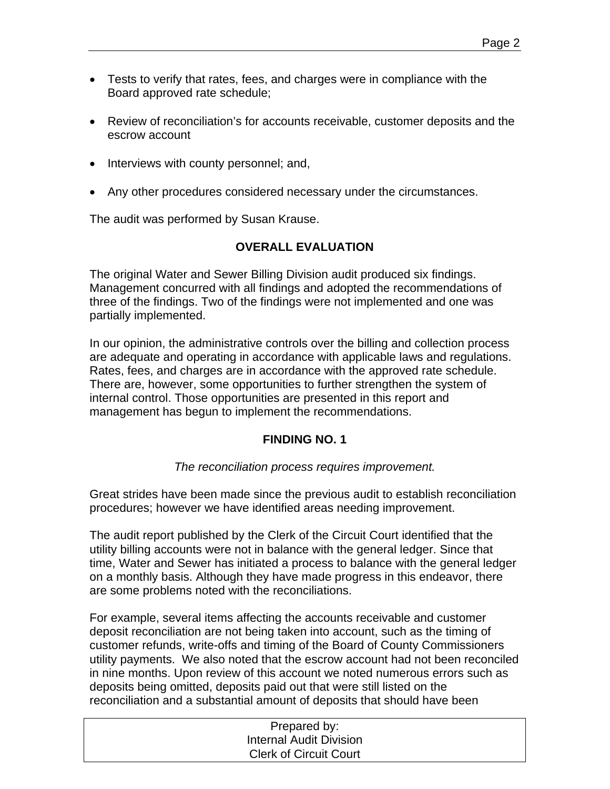- Tests to verify that rates, fees, and charges were in compliance with the Board approved rate schedule;
- Review of reconciliation's for accounts receivable, customer deposits and the escrow account
- Interviews with county personnel; and,
- Any other procedures considered necessary under the circumstances.

The audit was performed by Susan Krause.

## **OVERALL EVALUATION**

The original Water and Sewer Billing Division audit produced six findings. Management concurred with all findings and adopted the recommendations of three of the findings. Two of the findings were not implemented and one was partially implemented.

In our opinion, the administrative controls over the billing and collection process are adequate and operating in accordance with applicable laws and regulations. Rates, fees, and charges are in accordance with the approved rate schedule. There are, however, some opportunities to further strengthen the system of internal control. Those opportunities are presented in this report and management has begun to implement the recommendations.

## **FINDING NO. 1**

*The reconciliation process requires improvement.* 

Great strides have been made since the previous audit to establish reconciliation procedures; however we have identified areas needing improvement.

The audit report published by the Clerk of the Circuit Court identified that the utility billing accounts were not in balance with the general ledger. Since that time, Water and Sewer has initiated a process to balance with the general ledger on a monthly basis. Although they have made progress in this endeavor, there are some problems noted with the reconciliations.

For example, several items affecting the accounts receivable and customer deposit reconciliation are not being taken into account, such as the timing of customer refunds, write-offs and timing of the Board of County Commissioners utility payments. We also noted that the escrow account had not been reconciled in nine months. Upon review of this account we noted numerous errors such as deposits being omitted, deposits paid out that were still listed on the reconciliation and a substantial amount of deposits that should have been

| Prepared by:                   |  |
|--------------------------------|--|
| <b>Internal Audit Division</b> |  |
| <b>Clerk of Circuit Court</b>  |  |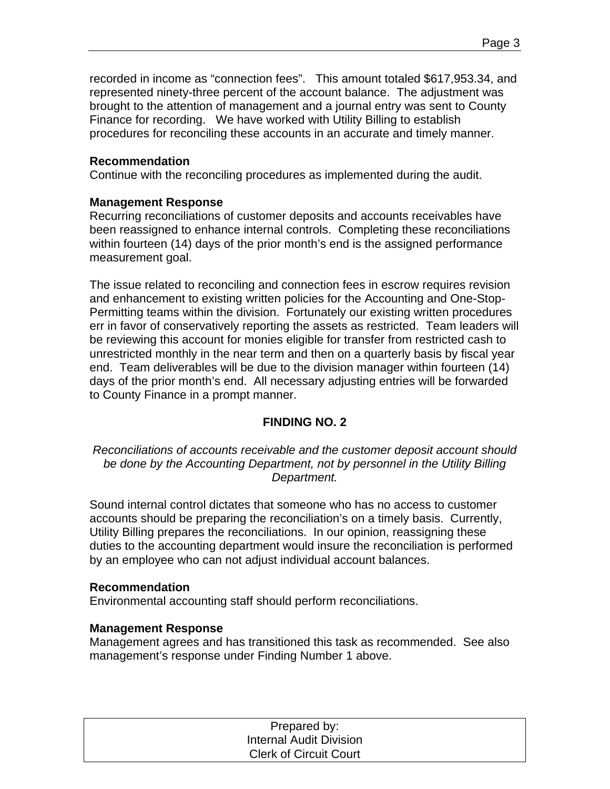recorded in income as "connection fees". This amount totaled \$617,953.34, and represented ninety-three percent of the account balance. The adjustment was brought to the attention of management and a journal entry was sent to County Finance for recording. We have worked with Utility Billing to establish procedures for reconciling these accounts in an accurate and timely manner.

## **Recommendation**

Continue with the reconciling procedures as implemented during the audit.

## **Management Response**

Recurring reconciliations of customer deposits and accounts receivables have been reassigned to enhance internal controls. Completing these reconciliations within fourteen (14) days of the prior month's end is the assigned performance measurement goal.

The issue related to reconciling and connection fees in escrow requires revision and enhancement to existing written policies for the Accounting and One-Stop-Permitting teams within the division. Fortunately our existing written procedures err in favor of conservatively reporting the assets as restricted. Team leaders will be reviewing this account for monies eligible for transfer from restricted cash to unrestricted monthly in the near term and then on a quarterly basis by fiscal year end. Team deliverables will be due to the division manager within fourteen (14) days of the prior month's end. All necessary adjusting entries will be forwarded to County Finance in a prompt manner.

## **FINDING NO. 2**

*Reconciliations of accounts receivable and the customer deposit account should be done by the Accounting Department, not by personnel in the Utility Billing Department.* 

Sound internal control dictates that someone who has no access to customer accounts should be preparing the reconciliation's on a timely basis. Currently, Utility Billing prepares the reconciliations. In our opinion, reassigning these duties to the accounting department would insure the reconciliation is performed by an employee who can not adjust individual account balances.

#### **Recommendation**

Environmental accounting staff should perform reconciliations.

#### **Management Response**

Management agrees and has transitioned this task as recommended. See also management's response under Finding Number 1 above.

| Prepared by:                   |  |
|--------------------------------|--|
| <b>Internal Audit Division</b> |  |
| <b>Clerk of Circuit Court</b>  |  |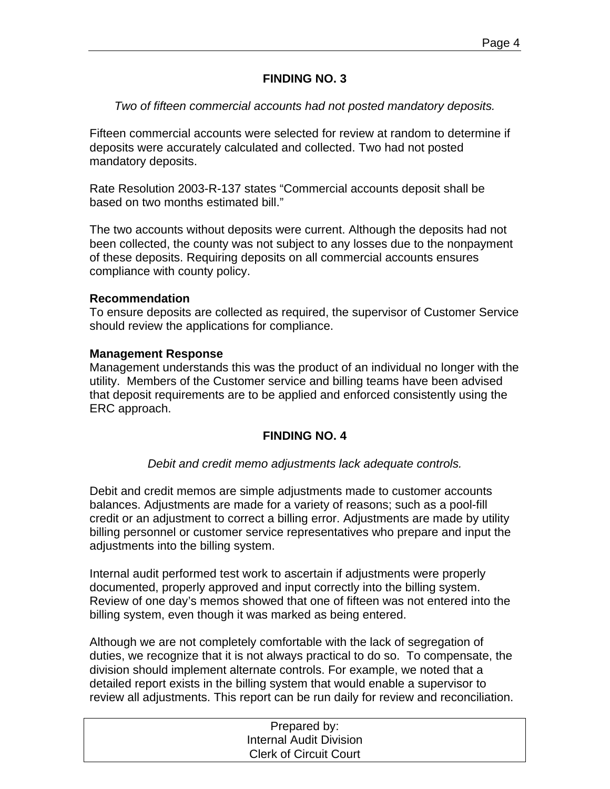## **FINDING NO. 3**

#### *Two of fifteen commercial accounts had not posted mandatory deposits.*

Fifteen commercial accounts were selected for review at random to determine if deposits were accurately calculated and collected. Two had not posted mandatory deposits.

Rate Resolution 2003-R-137 states "Commercial accounts deposit shall be based on two months estimated bill."

The two accounts without deposits were current. Although the deposits had not been collected, the county was not subject to any losses due to the nonpayment of these deposits. Requiring deposits on all commercial accounts ensures compliance with county policy.

#### **Recommendation**

To ensure deposits are collected as required, the supervisor of Customer Service should review the applications for compliance.

#### **Management Response**

Management understands this was the product of an individual no longer with the utility. Members of the Customer service and billing teams have been advised that deposit requirements are to be applied and enforced consistently using the ERC approach.

#### **FINDING NO. 4**

*Debit and credit memo adjustments lack adequate controls.* 

Debit and credit memos are simple adjustments made to customer accounts balances. Adjustments are made for a variety of reasons; such as a pool-fill credit or an adjustment to correct a billing error. Adjustments are made by utility billing personnel or customer service representatives who prepare and input the adjustments into the billing system.

Internal audit performed test work to ascertain if adjustments were properly documented, properly approved and input correctly into the billing system. Review of one day's memos showed that one of fifteen was not entered into the billing system, even though it was marked as being entered.

Although we are not completely comfortable with the lack of segregation of duties, we recognize that it is not always practical to do so. To compensate, the division should implement alternate controls. For example, we noted that a detailed report exists in the billing system that would enable a supervisor to review all adjustments. This report can be run daily for review and reconciliation.

| Prepared by:                  |  |
|-------------------------------|--|
| Internal Audit Division       |  |
| <b>Clerk of Circuit Court</b> |  |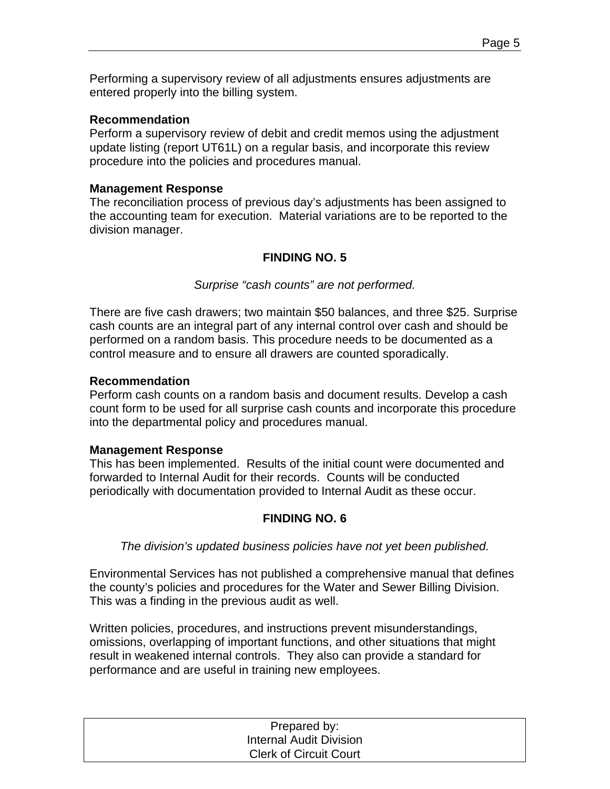Performing a supervisory review of all adjustments ensures adjustments are entered properly into the billing system.

#### **Recommendation**

Perform a supervisory review of debit and credit memos using the adjustment update listing (report UT61L) on a regular basis, and incorporate this review procedure into the policies and procedures manual.

#### **Management Response**

The reconciliation process of previous day's adjustments has been assigned to the accounting team for execution. Material variations are to be reported to the division manager.

## **FINDING NO. 5**

#### *Surprise "cash counts" are not performed.*

There are five cash drawers; two maintain \$50 balances, and three \$25. Surprise cash counts are an integral part of any internal control over cash and should be performed on a random basis. This procedure needs to be documented as a control measure and to ensure all drawers are counted sporadically.

#### **Recommendation**

Perform cash counts on a random basis and document results. Develop a cash count form to be used for all surprise cash counts and incorporate this procedure into the departmental policy and procedures manual.

#### **Management Response**

This has been implemented. Results of the initial count were documented and forwarded to Internal Audit for their records. Counts will be conducted periodically with documentation provided to Internal Audit as these occur.

#### **FINDING NO. 6**

*The division's updated business policies have not yet been published.* 

Environmental Services has not published a comprehensive manual that defines the county's policies and procedures for the Water and Sewer Billing Division. This was a finding in the previous audit as well.

Written policies, procedures, and instructions prevent misunderstandings, omissions, overlapping of important functions, and other situations that might result in weakened internal controls. They also can provide a standard for performance and are useful in training new employees.

| Prepared by:                   |
|--------------------------------|
| <b>Internal Audit Division</b> |
| <b>Clerk of Circuit Court</b>  |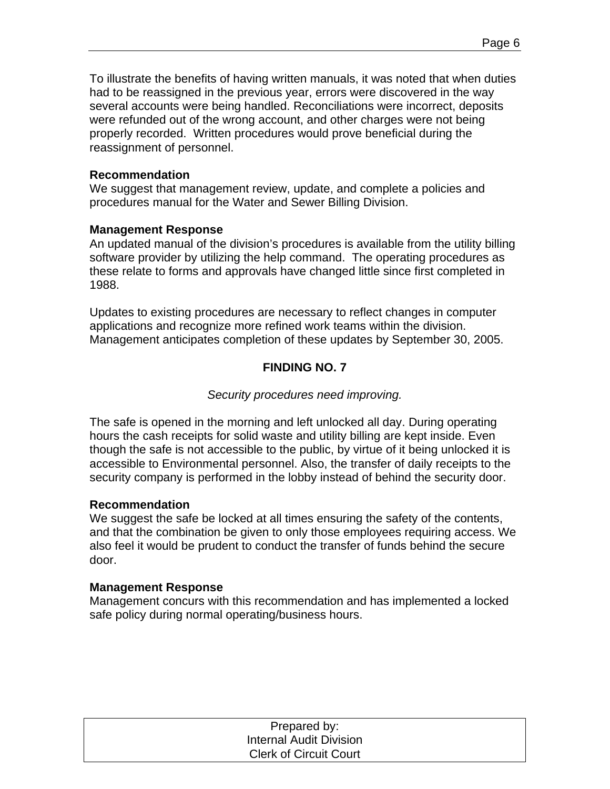To illustrate the benefits of having written manuals, it was noted that when duties had to be reassigned in the previous year, errors were discovered in the way several accounts were being handled. Reconciliations were incorrect, deposits were refunded out of the wrong account, and other charges were not being properly recorded. Written procedures would prove beneficial during the reassignment of personnel.

#### **Recommendation**

We suggest that management review, update, and complete a policies and procedures manual for the Water and Sewer Billing Division.

#### **Management Response**

An updated manual of the division's procedures is available from the utility billing software provider by utilizing the help command. The operating procedures as these relate to forms and approvals have changed little since first completed in 1988.

Updates to existing procedures are necessary to reflect changes in computer applications and recognize more refined work teams within the division. Management anticipates completion of these updates by September 30, 2005.

## **FINDING NO. 7**

#### *Security procedures need improving.*

The safe is opened in the morning and left unlocked all day. During operating hours the cash receipts for solid waste and utility billing are kept inside. Even though the safe is not accessible to the public, by virtue of it being unlocked it is accessible to Environmental personnel. Also, the transfer of daily receipts to the security company is performed in the lobby instead of behind the security door.

#### **Recommendation**

We suggest the safe be locked at all times ensuring the safety of the contents, and that the combination be given to only those employees requiring access. We also feel it would be prudent to conduct the transfer of funds behind the secure door.

#### **Management Response**

Management concurs with this recommendation and has implemented a locked safe policy during normal operating/business hours.

| Prepared by:                   |  |
|--------------------------------|--|
| <b>Internal Audit Division</b> |  |
| <b>Clerk of Circuit Court</b>  |  |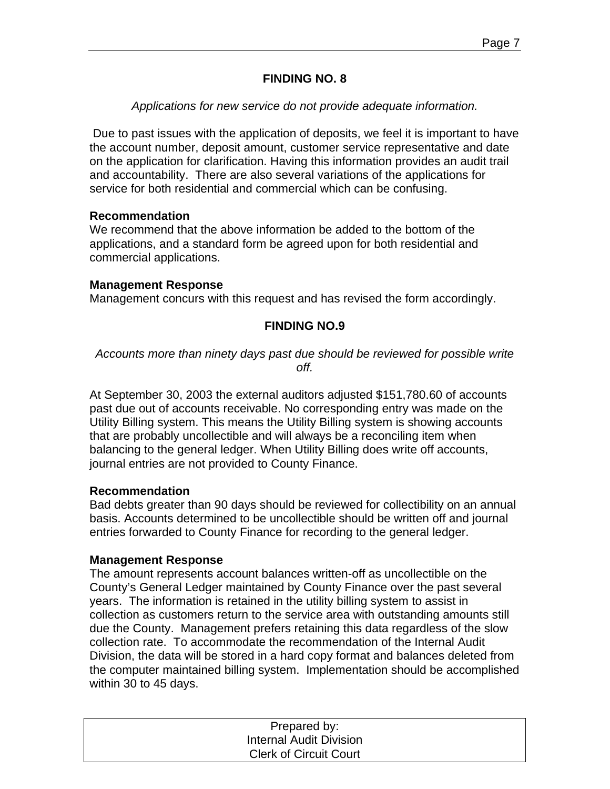## **FINDING NO. 8**

## *Applications for new service do not provide adequate information.*

 Due to past issues with the application of deposits, we feel it is important to have the account number, deposit amount, customer service representative and date on the application for clarification. Having this information provides an audit trail and accountability. There are also several variations of the applications for service for both residential and commercial which can be confusing.

#### **Recommendation**

We recommend that the above information be added to the bottom of the applications, and a standard form be agreed upon for both residential and commercial applications.

#### **Management Response**

Management concurs with this request and has revised the form accordingly.

## **FINDING NO.9**

*Accounts more than ninety days past due should be reviewed for possible write off.* 

At September 30, 2003 the external auditors adjusted \$151,780.60 of accounts past due out of accounts receivable. No corresponding entry was made on the Utility Billing system. This means the Utility Billing system is showing accounts that are probably uncollectible and will always be a reconciling item when balancing to the general ledger. When Utility Billing does write off accounts, journal entries are not provided to County Finance.

#### **Recommendation**

Bad debts greater than 90 days should be reviewed for collectibility on an annual basis. Accounts determined to be uncollectible should be written off and journal entries forwarded to County Finance for recording to the general ledger.

#### **Management Response**

The amount represents account balances written-off as uncollectible on the County's General Ledger maintained by County Finance over the past several years. The information is retained in the utility billing system to assist in collection as customers return to the service area with outstanding amounts still due the County. Management prefers retaining this data regardless of the slow collection rate. To accommodate the recommendation of the Internal Audit Division, the data will be stored in a hard copy format and balances deleted from the computer maintained billing system. Implementation should be accomplished within 30 to 45 days.

| Prepared by:                   |  |
|--------------------------------|--|
| <b>Internal Audit Division</b> |  |
| <b>Clerk of Circuit Court</b>  |  |